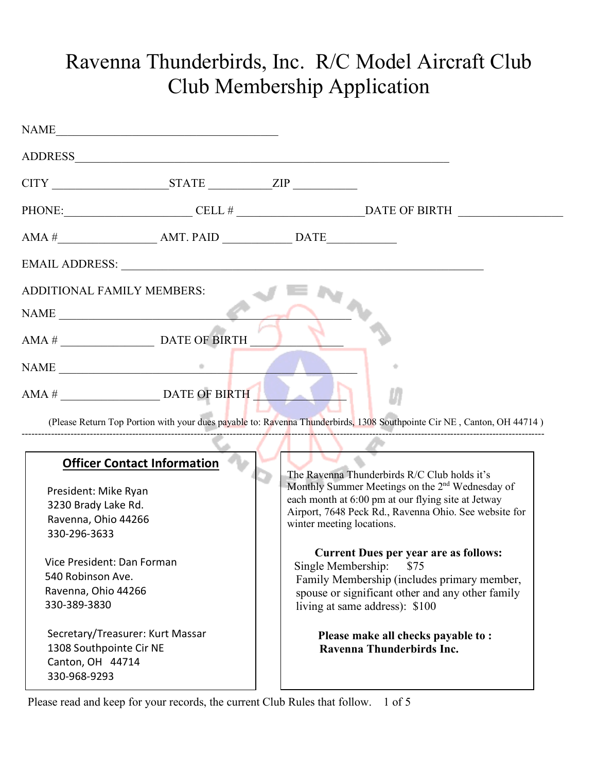## Ravenna Thunderbirds, Inc. R/C Model Aircraft Club Club Membership Application

|                                                                                                                          | $CITY$ $STATE$ $ZIP$                                                                                                                                                                                                                                                                                                                           |                                                                                                                                                                                                                                                         |  |
|--------------------------------------------------------------------------------------------------------------------------|------------------------------------------------------------------------------------------------------------------------------------------------------------------------------------------------------------------------------------------------------------------------------------------------------------------------------------------------|---------------------------------------------------------------------------------------------------------------------------------------------------------------------------------------------------------------------------------------------------------|--|
|                                                                                                                          |                                                                                                                                                                                                                                                                                                                                                |                                                                                                                                                                                                                                                         |  |
|                                                                                                                          | $AMA #$ $AMT. PAID$ $DATA$ $DATAE$ $DATAE$ $DATAE$ $DATAE$ $DataE$ $AMT. PAID$ $AHT. PAID$ $AHT. PAID$ $AHT. PAID$ $AHT. PAID$ $AHT. PAID$ $AHT. PAID$ $AHT. PAID$ $AHT. PAID$ $AHT. PAID$ $AHT. PAID$ $AHT. PAID$ $AHT. PAID$ $AHT. PAID$ $AHT. PAID$ $AHT. PAID$ $AHT. PAID$ $AHT. PAID$ $AHT. PAID$ $AHT. PAID$ $AHT. PAID$ $AHT. PAID$ $A$ |                                                                                                                                                                                                                                                         |  |
|                                                                                                                          | EMAIL ADDRESS: New York Contract of the Contract of the Contract of the Contract of the Contract of the Contract of the Contract of the Contract of the Contract of the Contract of the Contract of the Contract of the Contra                                                                                                                 |                                                                                                                                                                                                                                                         |  |
| <b>ADDITIONAL FAMILY MEMBERS:</b>                                                                                        |                                                                                                                                                                                                                                                                                                                                                |                                                                                                                                                                                                                                                         |  |
|                                                                                                                          |                                                                                                                                                                                                                                                                                                                                                |                                                                                                                                                                                                                                                         |  |
|                                                                                                                          |                                                                                                                                                                                                                                                                                                                                                |                                                                                                                                                                                                                                                         |  |
|                                                                                                                          | $\mathbf{NAME}$                                                                                                                                                                                                                                                                                                                                |                                                                                                                                                                                                                                                         |  |
|                                                                                                                          |                                                                                                                                                                                                                                                                                                                                                |                                                                                                                                                                                                                                                         |  |
|                                                                                                                          |                                                                                                                                                                                                                                                                                                                                                | (Please Return Top Portion with your dues payable to: Ravenna Thunderbirds, 1308 Southpointe Cir NE, Canton, OH 44714)                                                                                                                                  |  |
|                                                                                                                          |                                                                                                                                                                                                                                                                                                                                                |                                                                                                                                                                                                                                                         |  |
| <b>Officer Contact Information</b><br>President: Mike Ryan<br>3230 Brady Lake Rd.<br>Ravenna, Ohio 44266<br>330-296-3633 |                                                                                                                                                                                                                                                                                                                                                | The Ravenna Thunderbirds R/C Club holds it's<br>Monthly Summer Meetings on the 2 <sup>nd</sup> Wednesday of<br>each month at 6:00 pm at our flying site at Jetway<br>Airport, 7648 Peck Rd., Ravenna Ohio. See website for<br>winter meeting locations. |  |
| Vice President: Dan Forman<br>540 Robinson Ave.<br>Ravenna, Ohio 44266<br>330-389-3830                                   |                                                                                                                                                                                                                                                                                                                                                | <b>Current Dues per year are as follows:</b><br>\$75<br>Single Membership:<br>Family Membership (includes primary member,<br>spouse or significant other and any other family<br>living at same address): \$100                                         |  |
| Secretary/Treasurer: Kurt Massar<br>1308 Southpointe Cir NE<br>Canton, OH 44714<br>330-968-9293                          |                                                                                                                                                                                                                                                                                                                                                | Please make all checks payable to:<br>Ravenna Thunderbirds Inc.                                                                                                                                                                                         |  |

Please read and keep for your records, the current Club Rules that follow. 1 of 5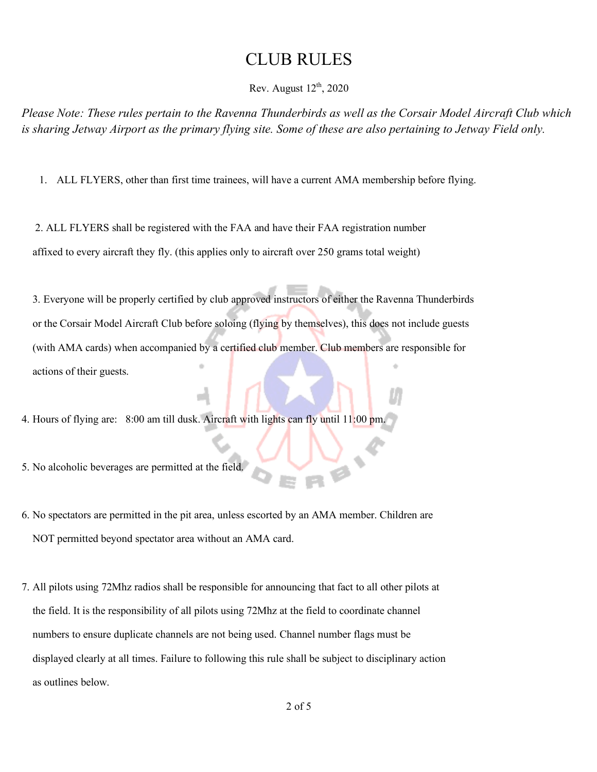## CLUB RULES

Rev. August  $12<sup>th</sup>$ , 2020

*Please Note: These rules pertain to the Ravenna Thunderbirds as well as the Corsair Model Aircraft Club which is sharing Jetway Airport as the primary flying site. Some of these are also pertaining to Jetway Field only.*

1. ALL FLYERS, other than first time trainees, will have a current AMA membership before flying.

 2. ALL FLYERS shall be registered with the FAA and have their FAA registration number affixed to every aircraft they fly. (this applies only to aircraft over 250 grams total weight)

 3. Everyone will be properly certified by club approved instructors of either the Ravenna Thunderbirds or the Corsair Model Aircraft Club before soloing (flying by themselves), this does not include guests (with AMA cards) when accompanied by a certified club member. Club members are responsible for actions of their guests.

4. Hours of flying are: 8:00 am till dusk. Aircraft with lights can fly until 11:00 pm.

5. No alcoholic beverages are permitted at the field.

- 6. No spectators are permitted in the pit area, unless escorted by an AMA member. Children are NOT permitted beyond spectator area without an AMA card.
- 7. All pilots using 72Mhz radios shall be responsible for announcing that fact to all other pilots at the field. It is the responsibility of all pilots using 72Mhz at the field to coordinate channel numbers to ensure duplicate channels are not being used. Channel number flags must be displayed clearly at all times. Failure to following this rule shall be subject to disciplinary action as outlines below.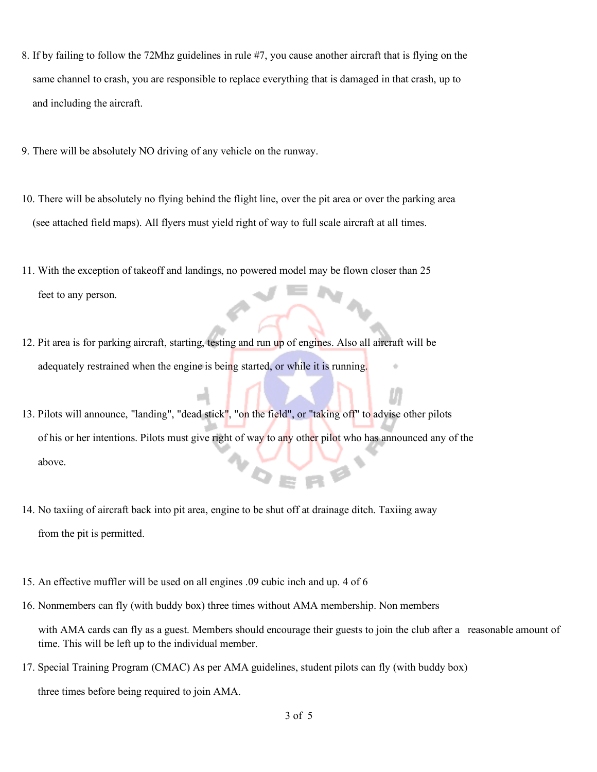- 8. If by failing to follow the 72Mhz guidelines in rule #7, you cause another aircraft that is flying on the same channel to crash, you are responsible to replace everything that is damaged in that crash, up to and including the aircraft.
- 9. There will be absolutely NO driving of any vehicle on the runway.
- 10. There will be absolutely no flying behind the flight line, over the pit area or over the parking area (see attached field maps). All flyers must yield right of way to full scale aircraft at all times.
- 11. With the exception of takeoff and landings, no powered model may be flown closer than 25 feet to any person.
- 12. Pit area is for parking aircraft, starting, testing and run up of engines. Also all aircraft will be adequately restrained when the engine is being started, or while it is running.
- 13. Pilots will announce, "landing", "dead stick", "on the field", or "taking off" to advise other pilots of his or her intentions. Pilots must give right of way to any other pilot who has announced any of the above.
- 14. No taxiing of aircraft back into pit area, engine to be shut off at drainage ditch. Taxiing away from the pit is permitted.
- 15. An effective muffler will be used on all engines .09 cubic inch and up. 4 of 6
- 16. Nonmembers can fly (with buddy box) three times without AMA membership. Non members

with AMA cards can fly as a guest. Members should encourage their guests to join the club after a reasonable amount of time. This will be left up to the individual member.

17. Special Training Program (CMAC) As per AMA guidelines, student pilots can fly (with buddy box)

three times before being required to join AMA.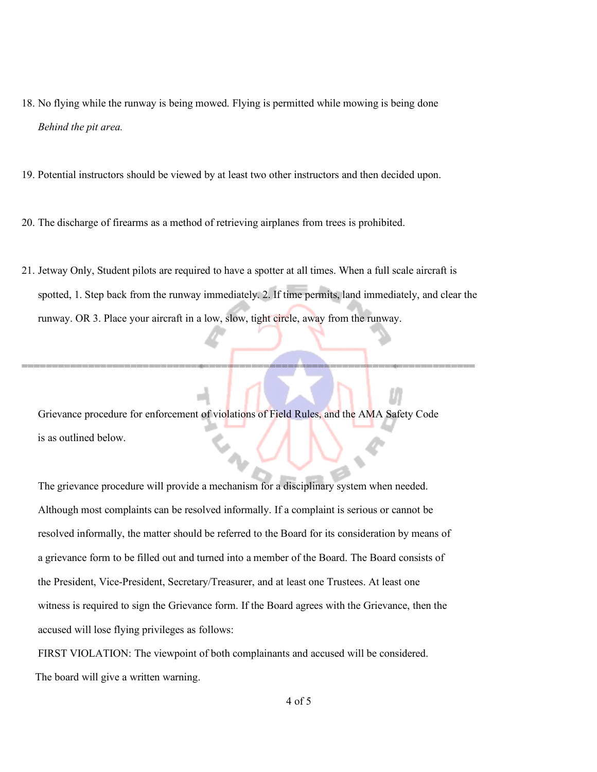- 18. No flying while the runway is being mowed. Flying is permitted while mowing is being done *Behind the pit area.*
- 19. Potential instructors should be viewed by at least two other instructors and then decided upon.
- 20. The discharge of firearms as a method of retrieving airplanes from trees is prohibited.
- 21. Jetway Only, Student pilots are required to have a spotter at all times. When a full scale aircraft is spotted, 1. Step back from the runway immediately. 2. If time permits, land immediately, and clear the runway. OR 3. Place your aircraft in a low, slow, tight circle, away from the runway.

===========================================================================

 Grievance procedure for enforcement of violations of Field Rules, and the AMA Safety Code is as outlined below.

 The grievance procedure will provide a mechanism for a disciplinary system when needed. Although most complaints can be resolved informally. If a complaint is serious or cannot be resolved informally, the matter should be referred to the Board for its consideration by means of a grievance form to be filled out and turned into a member of the Board. The Board consists of the President, Vice-President, Secretary/Treasurer, and at least one Trustees. At least one witness is required to sign the Grievance form. If the Board agrees with the Grievance, then the accused will lose flying privileges as follows:

 FIRST VIOLATION: The viewpoint of both complainants and accused will be considered. The board will give a written warning.